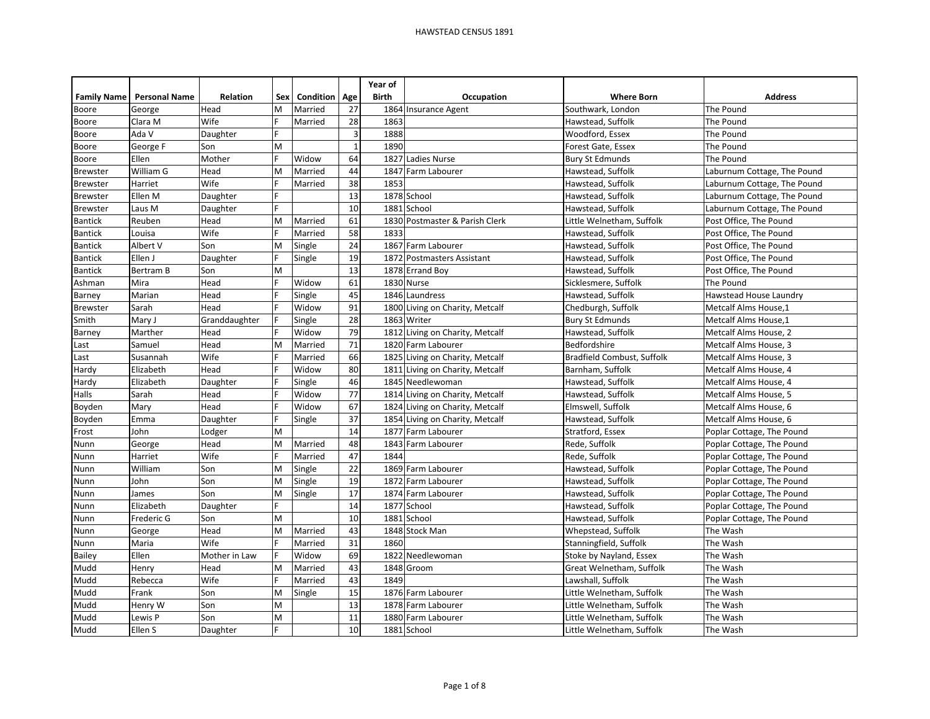|                    |                      |               |     |                      |              | Year of      |                                 |                            |                             |
|--------------------|----------------------|---------------|-----|----------------------|--------------|--------------|---------------------------------|----------------------------|-----------------------------|
| <b>Family Name</b> | <b>Personal Name</b> | Relation      | Sex | <b>Condition Age</b> |              | <b>Birth</b> | Occupation                      | <b>Where Born</b>          | <b>Address</b>              |
| Boore              | George               | Head          | M   | Married              | 27           |              | 1864 Insurance Agent            | Southwark, London          | The Pound                   |
| Boore              | Clara M              | Wife          |     | Married              | 28           | 1863         |                                 | Hawstead, Suffolk          | The Pound                   |
| Boore              | Ada V                | Daughter      |     |                      | 3            | 1888         |                                 | Woodford, Essex            | The Pound                   |
| Boore              | George F             | Son           | M   |                      | $\mathbf{1}$ | 1890         |                                 | Forest Gate, Essex         | The Pound                   |
| Boore              | Ellen                | Mother        |     | Widow                | 64           | 1827         | Ladies Nurse                    | <b>Bury St Edmunds</b>     | The Pound                   |
| Brewster           | William G            | Head          | M   | Married              | 44           | 1847         | Farm Labourer                   | Hawstead, Suffolk          | Laburnum Cottage, The Pound |
| <b>Brewster</b>    | Harriet              | Wife          |     | Married              | 38           | 1853         |                                 | Hawstead, Suffolk          | Laburnum Cottage, The Pound |
| <b>Brewster</b>    | Ellen M              | Daughter      |     |                      | 13           |              | 1878 School                     | Hawstead, Suffolk          | Laburnum Cottage, The Pound |
| <b>Brewster</b>    | Laus M               | Daughter      |     |                      | 10           | 1881         | School                          | Hawstead, Suffolk          | Laburnum Cottage, The Pound |
| <b>Bantick</b>     | Reuben               | Head          | M   | Married              | 61           | 1830         | Postmaster & Parish Clerk       | Little Welnetham, Suffolk  | Post Office, The Pound      |
| <b>Bantick</b>     | Louisa               | Wife          |     | Married              | 58           | 1833         |                                 | Hawstead, Suffolk          | Post Office, The Pound      |
| <b>Bantick</b>     | Albert V             | Son           | M   | Single               | 24           |              | 1867 Farm Labourer              | Hawstead, Suffolk          | Post Office, The Pound      |
| <b>Bantick</b>     | Ellen J              | Daughter      |     | Single               | 19           | 1872         | <b>Postmasters Assistant</b>    | Hawstead, Suffolk          | Post Office, The Pound      |
| <b>Bantick</b>     | <b>Bertram B</b>     | Son           | M   |                      | 13           |              | 1878 Errand Boy                 | Hawstead, Suffolk          | Post Office, The Pound      |
| Ashman             | Mira                 | Head          |     | Widow                | 61           |              | 1830 Nurse                      | Sicklesmere, Suffolk       | The Pound                   |
| Barney             | Marian               | Head          |     | Single               | 45           |              | 1846 Laundress                  | Hawstead, Suffolk          | Hawstead House Laundry      |
| Brewster           | Sarah                | Head          |     | Widow                | 91           |              | 1800 Living on Charity, Metcalf | Chedburgh, Suffolk         | Metcalf Alms House,1        |
| Smith              | Mary J               | Granddaughter |     | Single               | 28           |              | 1863 Writer                     | <b>Bury St Edmunds</b>     | Metcalf Alms House,1        |
| Barney             | Marther              | Head          |     | Widow                | 79           |              | 1812 Living on Charity, Metcalf | Hawstead, Suffolk          | Metcalf Alms House, 2       |
| Last               | Samuel               | Head          | M   | Married              | 71           |              | 1820 Farm Labourer              | Bedfordshire               | Metcalf Alms House, 3       |
| Last               | Susannah             | Wife          |     | Married              | 66           |              | 1825 Living on Charity, Metcalf | Bradfield Combust, Suffolk | Metcalf Alms House, 3       |
| Hardy              | Elizabeth            | Head          |     | Widow                | 80           |              | 1811 Living on Charity, Metcalf | Barnham, Suffolk           | Metcalf Alms House, 4       |
| Hardy              | Elizabeth            | Daughter      |     | Single               | 46           |              | 1845 Needlewoman                | Hawstead, Suffolk          | Metcalf Alms House, 4       |
| Halls              | Sarah                | Head          |     | Widow                | 77           |              | 1814 Living on Charity, Metcalf | Hawstead, Suffolk          | Metcalf Alms House, 5       |
| Boyden             | Mary                 | Head          |     | Widow                | 67           |              | 1824 Living on Charity, Metcalf | Elmswell, Suffolk          | Metcalf Alms House, 6       |
| Boyden             | Emma                 | Daughter      |     | Single               | 37           |              | 1854 Living on Charity, Metcalf | Hawstead, Suffolk          | Metcalf Alms House, 6       |
| Frost              | John                 | Lodger        | M   |                      | 14           | 1877         | Farm Labourer                   | Stratford, Essex           | Poplar Cottage, The Pound   |
| Nunn               | George               | Head          | M   | Married              | 48           | 1843         | Farm Labourer                   | Rede, Suffolk              | Poplar Cottage, The Pound   |
| Nunn               | Harriet              | Wife          |     | Married              | 47           | 1844         |                                 | Rede, Suffolk              | Poplar Cottage, The Pound   |
| Nunn               | William              | Son           | M   | Single               | 22           |              | 1869 Farm Labourer              | Hawstead, Suffolk          | Poplar Cottage, The Pound   |
| Nunn               | John                 | Son           | M   | Single               | 19           | 1872         | Farm Labourer                   | Hawstead, Suffolk          | Poplar Cottage, The Pound   |
| Nunn               | James                | Son           | M   | Single               | 17           | 1874         | Farm Labourer                   | Hawstead, Suffolk          | Poplar Cottage, The Pound   |
| Nunn               | Elizabeth            | Daughter      |     |                      | 14           | 1877         | School                          | Hawstead, Suffolk          | Poplar Cottage, The Pound   |
| Nunn               | Frederic G           | Son           | M   |                      | 10           | 1881         | School                          | Hawstead, Suffolk          | Poplar Cottage, The Pound   |
| Nunn               | George               | Head          | M   | Married              | 43           |              | 1848 Stock Man                  | Whepstead, Suffolk         | The Wash                    |
| Nunn               | Maria                | Wife          |     | Married              | 31           | 1860         |                                 | Stanningfield, Suffolk     | The Wash                    |
| Bailey             | Ellen                | Mother in Law |     | Widow                | 69           | 1822         | Needlewoman                     | Stoke by Nayland, Essex    | The Wash                    |
| Mudd               | Henry                | Head          | М   | Married              | 43           | 1848         | Groom                           | Great Welnetham, Suffolk   | The Wash                    |
| Mudd               | Rebecca              | Wife          |     | Married              | 43           | 1849         |                                 | Lawshall, Suffolk          | The Wash                    |
| Mudd               | Frank                | Son           | M   | Single               | 15           |              | 1876 Farm Labourer              | Little Welnetham, Suffolk  | The Wash                    |
| Mudd               | Henry W              | Son           | M   |                      | 13           |              | 1878 Farm Labourer              | Little Welnetham, Suffolk  | The Wash                    |
| Mudd               | Lewis P              | Son           | M   |                      | 11           | 1880         | Farm Labourer                   | Little Welnetham, Suffolk  | The Wash                    |
| Mudd               | Ellen S              | Daughter      |     |                      | 10           |              | 1881 School                     | Little Welnetham, Suffolk  | The Wash                    |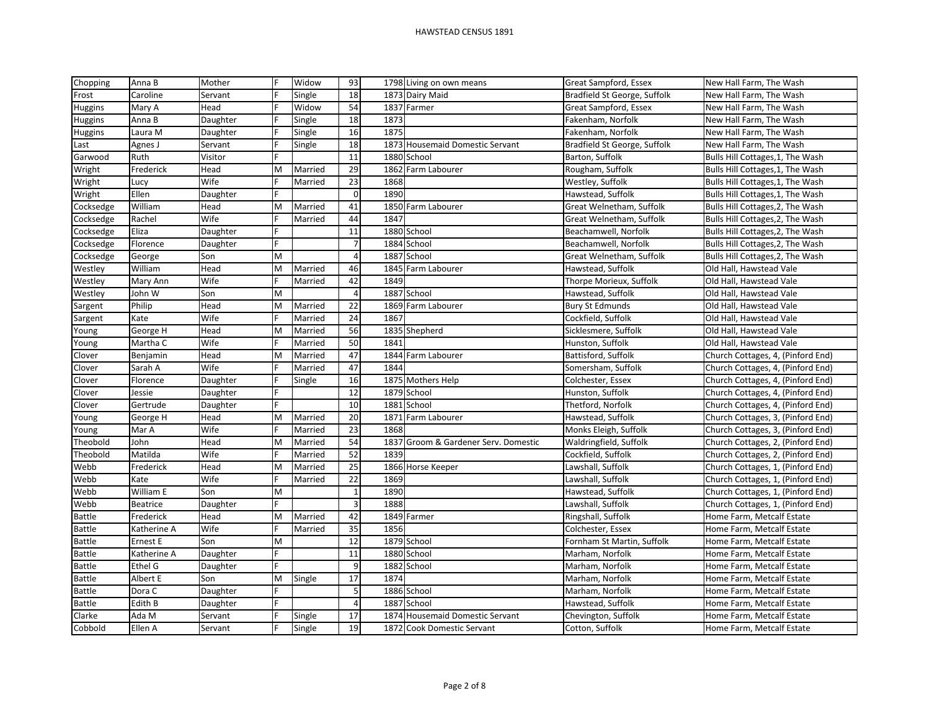| Chopping       | Anna B      | Mother   |   | Widow   | 93                      |      | 1798 Living on own means             | Great Sampford, Essex        | New Hall Farm, The Wash           |
|----------------|-------------|----------|---|---------|-------------------------|------|--------------------------------------|------------------------------|-----------------------------------|
| Frost          | Caroline    | Servant  |   | Single  | 18                      |      | 1873 Dairy Maid                      | Bradfield St George, Suffolk | New Hall Farm, The Wash           |
| <b>Huggins</b> | Mary A      | Head     |   | Widow   | 54                      |      | 1837 Farmer                          | Great Sampford, Essex        | New Hall Farm, The Wash           |
| <b>Huggins</b> | Anna B      | Daughter |   | Single  | 18                      | 1873 |                                      | Fakenham, Norfolk            | New Hall Farm, The Wash           |
| <b>Huggins</b> | Laura M     | Daughter |   | Single  | 16                      | 1875 |                                      | Fakenham, Norfolk            | New Hall Farm, The Wash           |
| Last           | Agnes J     | Servant  |   | Single  | 18                      |      | 1873 Housemaid Domestic Servant      | Bradfield St George, Suffolk | New Hall Farm, The Wash           |
| Garwood        | Ruth        | Visitor  |   |         | 11                      |      | 1880 School                          | Barton, Suffolk              | Bulls Hill Cottages, 1, The Wash  |
| Wright         | Frederick   | Head     | M | Married | 29                      |      | 1862 Farm Labourer                   | Rougham, Suffolk             | Bulls Hill Cottages, 1, The Wash  |
| Wright         | Lucy        | Wife     |   | Married | 23                      | 1868 |                                      | Westley, Suffolk             | Bulls Hill Cottages, 1, The Wash  |
| Wright         | Ellen       | Daughter |   |         | $\mathbf 0$             | 1890 |                                      | Hawstead, Suffolk            | Bulls Hill Cottages, 1, The Wash  |
| Cocksedge      | William     | Head     | M | Married | 41                      |      | 1850 Farm Labourer                   | Great Welnetham, Suffolk     | Bulls Hill Cottages, 2, The Wash  |
| Cocksedge      | Rachel      | Wife     |   | Married | 44                      | 1847 |                                      | Great Welnetham, Suffolk     | Bulls Hill Cottages, 2, The Wash  |
| Cocksedge      | Eliza       | Daughter |   |         | 11                      |      | 1880 School                          | Beachamwell, Norfolk         | Bulls Hill Cottages, 2, The Wash  |
| Cocksedge      | Florence    | Daughter |   |         | $\overline{7}$          |      | 1884 School                          | Beachamwell, Norfolk         | Bulls Hill Cottages, 2, The Wash  |
| Cocksedge      | George      | Son      | M |         | $\overline{4}$          |      | 1887 School                          | Great Welnetham, Suffolk     | Bulls Hill Cottages, 2, The Wash  |
| Westley        | William     | Head     | M | Married | 46                      |      | 1845 Farm Labourer                   | Hawstead, Suffolk            | Old Hall, Hawstead Vale           |
| Westley        | Mary Ann    | Wife     |   | Married | 42                      | 1849 |                                      | Thorpe Morieux, Suffolk      | Old Hall, Hawstead Vale           |
| Westley        | John W      | Son      | M |         | 4                       |      | 1887 School                          | Hawstead, Suffolk            | Old Hall, Hawstead Vale           |
| Sargent        | Philip      | Head     | M | Married | 22                      |      | 1869 Farm Labourer                   | <b>Bury St Edmunds</b>       | Old Hall, Hawstead Vale           |
| Sargent        | Kate        | Wife     |   | Married | 24                      | 1867 |                                      | Cockfield, Suffolk           | Old Hall, Hawstead Vale           |
| Young          | George H    | Head     | M | Married | 56                      |      | 1835 Shepherd                        | Sicklesmere, Suffolk         | Old Hall, Hawstead Vale           |
| Young          | Martha C    | Wife     |   | Married | 50                      | 1841 |                                      | Hunston, Suffolk             | Old Hall, Hawstead Vale           |
| Clover         | Benjamin    | Head     | M | Married | 47                      |      | 1844 Farm Labourer                   | Battisford, Suffolk          | Church Cottages, 4, (Pinford End) |
| Clover         | Sarah A     | Wife     |   | Married | 47                      | 1844 |                                      | Somersham, Suffolk           | Church Cottages, 4, (Pinford End) |
| Clover         | Florence    | Daughter |   | Single  | 16                      |      | 1875 Mothers Help                    | Colchester, Essex            | Church Cottages, 4, (Pinford End) |
| Clover         | Jessie      | Daughter |   |         | 12                      |      | 1879 School                          | Hunston, Suffolk             | Church Cottages, 4, (Pinford End) |
| Clover         | Gertrude    | Daughter |   |         | 10                      |      | 1881 School                          | Thetford, Norfolk            | Church Cottages, 4, (Pinford End) |
| Young          | George H    | Head     | M | Married | 20                      |      | 1871 Farm Labourer                   | Hawstead, Suffolk            | Church Cottages, 3, (Pinford End) |
| Young          | Mar A       | Wife     |   | Married | 23                      | 1868 |                                      | Monks Eleigh, Suffolk        | Church Cottages, 3, (Pinford End) |
| Theobold       | John        | Head     | M | Married | 54                      |      | 1837 Groom & Gardener Serv. Domestic | Waldringfield, Suffolk       | Church Cottages, 2, (Pinford End) |
| Theobold       | Matilda     | Wife     |   | Married | 52                      | 1839 |                                      | Cockfield, Suffolk           | Church Cottages, 2, (Pinford End) |
| Webb           | Frederick   | Head     | M | Married | 25                      |      | 1866 Horse Keeper                    | Lawshall, Suffolk            | Church Cottages, 1, (Pinford End) |
| Webb           | Kate        | Wife     |   | Married | 22                      | 1869 |                                      | Lawshall, Suffolk            | Church Cottages, 1, (Pinford End) |
| Webb           | William E   | Son      | M |         | $\mathbf{1}$            | 1890 |                                      | Hawstead, Suffolk            | Church Cottages, 1, (Pinford End) |
| Webb           | Beatrice    | Daughter | F |         | $\overline{\mathbf{3}}$ | 1888 |                                      | Lawshall, Suffolk            | Church Cottages, 1, (Pinford End) |
| <b>Battle</b>  | Frederick   | Head     | M | Married | 42                      |      | 1849 Farmer                          | Ringshall, Suffolk           | Home Farm, Metcalf Estate         |
| <b>Battle</b>  | Katherine A | Wife     |   | Married | 35                      | 1856 |                                      | Colchester, Essex            | Home Farm, Metcalf Estate         |
| <b>Battle</b>  | Ernest E    | Son      | M |         | 12                      |      | 1879 School                          | Fornham St Martin, Suffolk   | Home Farm, Metcalf Estate         |
| <b>Battle</b>  | Katherine A | Daughter |   |         | 11                      |      | 1880 School                          | Marham, Norfolk              | Home Farm, Metcalf Estate         |
| <b>Battle</b>  | Ethel G     | Daughter |   |         | 9                       |      | 1882 School                          | Marham, Norfolk              | Home Farm, Metcalf Estate         |
| <b>Battle</b>  | Albert E    | Son      | M | Single  | 17                      | 1874 |                                      | Marham, Norfolk              | Home Farm, Metcalf Estate         |
| <b>Battle</b>  | Dora C      | Daughter |   |         | $\mathsf S$             |      | 1886 School                          | Marham, Norfolk              | Home Farm, Metcalf Estate         |
| Battle         | Edith B     | Daughter |   |         | $\overline{a}$          |      | 1887 School                          | Hawstead, Suffolk            | Home Farm, Metcalf Estate         |
| Clarke         | Ada M       | Servant  |   | Single  | 17                      |      | 1874 Housemaid Domestic Servant      | Chevington, Suffolk          | Home Farm, Metcalf Estate         |
| Cobbold        | Ellen A     | Servant  |   | Single  | 19                      |      | 1872 Cook Domestic Servant           | Cotton, Suffolk              | Home Farm, Metcalf Estate         |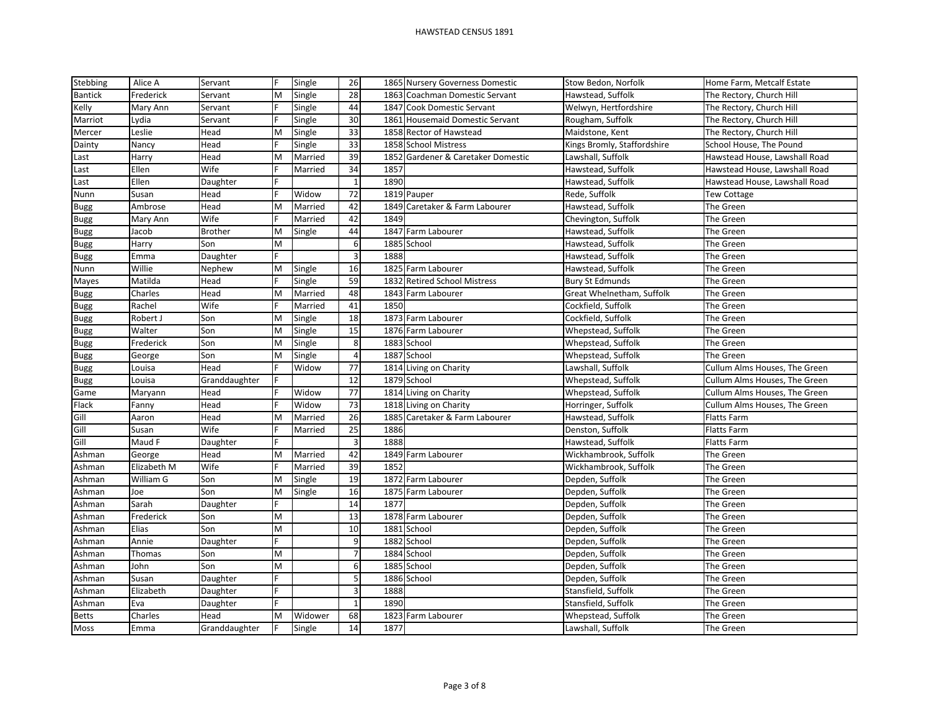| Stebbing       | Alice A     | Servant        |   | Single  | 26             |      | 1865 Nursery Governess Domestic    | Stow Bedon, Norfolk         | Home Farm, Metcalf Estate     |
|----------------|-------------|----------------|---|---------|----------------|------|------------------------------------|-----------------------------|-------------------------------|
| <b>Bantick</b> | Frederick   | Servant        | м | Single  | 28             |      | 1863 Coachman Domestic Servant     | Hawstead, Suffolk           | The Rectory, Church Hill      |
| Kelly          | Mary Ann    | Servant        |   | Single  | 44             |      | 1847 Cook Domestic Servant         | Welwyn, Hertfordshire       | The Rectory, Church Hill      |
| Marriot        | Lydia       | Servant        |   | Single  | 30             |      | 1861 Housemaid Domestic Servant    | Rougham, Suffolk            | The Rectory, Church Hill      |
| Mercer         | Leslie      | Head           | м | Single  | 33             |      | 1858 Rector of Hawstead            | Maidstone, Kent             | The Rectory, Church Hill      |
| Dainty         | Nancy       | Head           |   | Single  | 33             |      | 1858 School Mistress               | Kings Bromly, Staffordshire | School House, The Pound       |
| Last           | Harry       | Head           | M | Married | 39             |      | 1852 Gardener & Caretaker Domestic | Lawshall, Suffolk           | Hawstead House, Lawshall Road |
| Last           | Ellen       | Wife           |   | Married | 34             | 1857 |                                    | Hawstead, Suffolk           | Hawstead House, Lawshall Road |
| Last           | Ellen       | Daughter       |   |         | $\mathbf{1}$   | 1890 |                                    | Hawstead, Suffolk           | Hawstead House, Lawshall Road |
| Nunn           | Susan       | Head           |   | Widow   | 72             |      | 1819 Pauper                        | Rede, Suffolk               | Tew Cottage                   |
| <b>Bugg</b>    | Ambrose     | Head           | M | Married | 42             |      | 1849 Caretaker & Farm Labourer     | Hawstead, Suffolk           | The Green                     |
| Bugg           | Mary Ann    | Wife           |   | Married | 42             | 1849 |                                    | Chevington, Suffolk         | The Green                     |
| <b>Bugg</b>    | Jacob       | <b>Brother</b> | м | Single  | 44             | 1847 | Farm Labourer                      | Hawstead, Suffolk           | The Green                     |
| <b>Bugg</b>    | Harry       | Son            | M |         | 6              |      | 1885 School                        | Hawstead, Suffolk           | The Green                     |
| Bugg           | Emma        | Daughter       |   |         | 3              | 1888 |                                    | Hawstead, Suffolk           | The Green                     |
| Nunn           | Willie      | Nephew         | М | Single  | 16             |      | 1825 Farm Labourer                 | Hawstead, Suffolk           | The Green                     |
| Mayes          | Matilda     | Head           |   | Single  | 59             |      | 1832 Retired School Mistress       | <b>Bury St Edmunds</b>      | The Green                     |
| Bugg           | Charles     | Head           | M | Married | 48             |      | 1843 Farm Labourer                 | Great Whelnetham, Suffolk   | The Green                     |
| <b>Bugg</b>    | Rachel      | Wife           |   | Married | 41             | 1850 |                                    | Cockfield, Suffolk          | The Green                     |
| <b>Bugg</b>    | Robert J    | Son            | M | Single  | 18             |      | 1873 Farm Labourer                 | Cockfield, Suffolk          | The Green                     |
| <b>Bugg</b>    | Walter      | Son            | M | Single  | 15             |      | 1876 Farm Labourer                 | Whepstead, Suffolk          | The Green                     |
| <b>Bugg</b>    | Frederick   | Son            | M | Single  | 8              |      | 1883 School                        | Whepstead, Suffolk          | The Green                     |
| <b>Bugg</b>    | George      | Son            | M | Single  | 4              |      | 1887 School                        | Whepstead, Suffolk          | The Green                     |
| Bugg           | Louisa      | Head           |   | Widow   | 77             |      | 1814 Living on Charity             | Lawshall, Suffolk           | Cullum Alms Houses, The Green |
| <b>Bugg</b>    | Louisa      | Granddaughter  |   |         | 12             |      | 1879 School                        | Whepstead, Suffolk          | Cullum Alms Houses, The Green |
| Game           | Maryann     | Head           |   | Widow   | 77             |      | 1814 Living on Charity             | Whepstead, Suffolk          | Cullum Alms Houses, The Green |
| Flack          | Fanny       | Head           |   | Widow   | 73             |      | 1818 Living on Charity             | Horringer, Suffolk          | Cullum Alms Houses, The Green |
| Gill           | Aaron       | Head           | M | Married | 26             |      | 1885 Caretaker & Farm Labourer     | Hawstead, Suffolk           | <b>Flatts Farm</b>            |
| Gill           | Susan       | Wife           |   | Married | 25             | 1886 |                                    | Denston, Suffolk            | Flatts Farm                   |
| Gill           | Maud F      | Daughter       |   |         | $\overline{3}$ | 1888 |                                    | Hawstead, Suffolk           | Flatts Farm                   |
| Ashman         | George      | Head           | M | Married | 42             |      | 1849 Farm Labourer                 | Wickhambrook, Suffolk       | The Green                     |
| Ashman         | Elizabeth M | Wife           |   | Married | 39             | 1852 |                                    | Wickhambrook, Suffolk       | The Green                     |
| Ashman         | William G   | Son            | M | Single  | 19             |      | 1872 Farm Labourer                 | Depden, Suffolk             | The Green                     |
| Ashman         | Joe         | Son            | M | Single  | 16             |      | 1875 Farm Labourer                 | Depden, Suffolk             | The Green                     |
| Ashman         | Sarah       | Daughter       |   |         | 14             | 1877 |                                    | Depden, Suffolk             | The Green                     |
| Ashman         | Frederick   | Son            | M |         | 13             |      | 1878 Farm Labourer                 | Depden, Suffolk             | The Green                     |
| Ashman         | Elias       | Son            | M |         | 10             |      | 1881 School                        | Depden, Suffolk             | The Green                     |
| Ashman         | Annie       | Daughter       |   |         | 9              |      | 1882 School                        | Depden, Suffolk             | The Green                     |
| Ashman         | Thomas      | Son            | M |         | $\overline{7}$ |      | 1884 School                        | Depden, Suffolk             | The Green                     |
| Ashman         | John        | Son            | M |         | 6              |      | 1885 School                        | Depden, Suffolk             | The Green                     |
| Ashman         | Susan       | Daughter       | F |         | 5              |      | 1886 School                        | Depden, Suffolk             | The Green                     |
| Ashman         | Elizabeth   | Daughter       |   |         | 3              | 1888 |                                    | Stansfield, Suffolk         | The Green                     |
| Ashman         | Eva         | Daughter       |   |         | $\mathbf{1}$   | 1890 |                                    | Stansfield, Suffolk         | The Green                     |
| <b>Betts</b>   | Charles     | Head           | M | Widower | 68             |      | 1823 Farm Labourer                 | Whepstead, Suffolk          | The Green                     |
| Moss           | Emma        | Granddaughter  |   | Single  | 14             | 1877 |                                    | Lawshall, Suffolk           | The Green                     |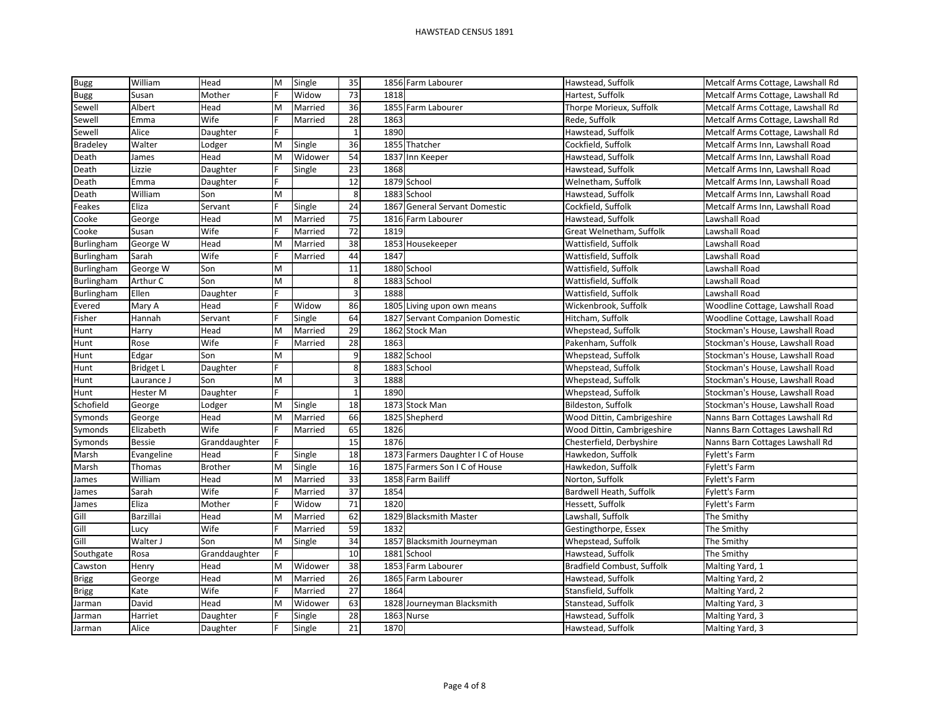| <b>Bugg</b>       | William          | Head           | M | Single  | 35           |      | 1856 Farm Labourer                 | Hawstead, Suffolk          | Metcalf Arms Cottage, Lawshall Rd |
|-------------------|------------------|----------------|---|---------|--------------|------|------------------------------------|----------------------------|-----------------------------------|
| <b>Bugg</b>       | Susan            | Mother         |   | Widow   | 73           | 1818 |                                    | Hartest, Suffolk           | Metcalf Arms Cottage, Lawshall Rd |
| Sewell            | Albert           | Head           | M | Married | 36           |      | 1855 Farm Labourer                 | Thorpe Morieux, Suffolk    | Metcalf Arms Cottage, Lawshall Rd |
| Sewell            | Emma             | Wife           |   | Married | 28           | 1863 |                                    | Rede, Suffolk              | Metcalf Arms Cottage, Lawshall Rd |
| Sewell            | Alice            | Daughter       |   |         | $\mathbf{1}$ | 1890 |                                    | Hawstead, Suffolk          | Metcalf Arms Cottage, Lawshall Rd |
| <b>Bradeley</b>   | Walter           | Lodger         | M | Single  | 36           |      | 1855 Thatcher                      | Cockfield, Suffolk         | Metcalf Arms Inn, Lawshall Road   |
| Death             | James            | Head           | м | Widower | 54           | 1837 | Inn Keeper                         | Hawstead, Suffolk          | Metcalf Arms Inn, Lawshall Road   |
| Death             | Lizzie           | Daughter       |   | Single  | 23           | 1868 |                                    | Hawstead, Suffolk          | Metcalf Arms Inn, Lawshall Road   |
| Death             | Emma             | Daughter       |   |         | 12           |      | 1879 School                        | Welnetham, Suffolk         | Metcalf Arms Inn, Lawshall Road   |
| Death             | William          | Son            | M |         | 8            | 1883 | School                             | Hawstead, Suffolk          | Metcalf Arms Inn, Lawshall Road   |
| Feakes            | Eliza            | Servant        |   | Single  | 24           | 1867 | <b>General Servant Domestic</b>    | Cockfield, Suffolk         | Metcalf Arms Inn, Lawshall Road   |
| Cooke             | George           | Head           | M | Married | 75           |      | 1816 Farm Labourer                 | Hawstead, Suffolk          | Lawshall Road                     |
| Cooke             | Susan            | Wife           |   | Married | 72           | 1819 |                                    | Great Welnetham, Suffolk   | Lawshall Road                     |
| Burlingham        | George W         | Head           | M | Married | 38           |      | 1853 Housekeeper                   | Wattisfield, Suffolk       | Lawshall Road                     |
| <b>Burlingham</b> | Sarah            | Wife           |   | Married | 44           | 1847 |                                    | Wattisfield, Suffolk       | Lawshall Road                     |
| Burlingham        | George W         | Son            | M |         | 11           |      | 1880 School                        | Wattisfield, Suffolk       | Lawshall Road                     |
| Burlingham        | Arthur C         | Son            | M |         | 8            | 1883 | School                             | Wattisfield, Suffolk       | Lawshall Road                     |
| Burlingham        | Ellen            | Daughter       |   |         | 3            | 1888 |                                    | Wattisfield, Suffolk       | Lawshall Road                     |
| Evered            | Mary A           | Head           |   | Widow   | 86           |      | 1805 Living upon own means         | Wickenbrook, Suffolk       | Woodline Cottage, Lawshall Road   |
| Fisher            | Hannah           | Servant        |   | Single  | 64           |      | 1827 Servant Companion Domestic    | Hitcham, Suffolk           | Woodline Cottage, Lawshall Road   |
| Hunt              | Harry            | Head           | М | Married | 29           |      | 1862 Stock Man                     | Whepstead, Suffolk         | Stockman's House, Lawshall Road   |
| Hunt              | Rose             | Wife           |   | Married | 28           | 1863 |                                    | Pakenham, Suffolk          | Stockman's House, Lawshall Road   |
| Hunt              | Edgar            | Son            | M |         | 9            |      | 1882 School                        | Whepstead, Suffolk         | Stockman's House, Lawshall Road   |
| Hunt              | <b>Bridget L</b> | Daughter       |   |         | 8            |      | 1883 School                        | Whepstead, Suffolk         | Stockman's House, Lawshall Road   |
| Hunt              | Laurance J       | Son            | M |         | 3            | 1888 |                                    | Whepstead, Suffolk         | Stockman's House, Lawshall Road   |
| Hunt              | Hester M         | Daughter       |   |         | $\mathbf{1}$ | 1890 |                                    | Whepstead, Suffolk         | Stockman's House, Lawshall Road   |
| Schofield         | George           | Lodger         | M | Single  | 18           |      | 1873 Stock Man                     | Bildeston, Suffolk         | Stockman's House, Lawshall Road   |
| Symonds           | George           | Head           | М | Married | 66           |      | 1825 Shepherd                      | Wood Dittin, Cambrigeshire | Nanns Barn Cottages Lawshall Rd   |
| Symonds           | Elizabeth        | Wife           |   | Married | 65           | 1826 |                                    | Wood Dittin, Cambrigeshire | Nanns Barn Cottages Lawshall Rd   |
| Symonds           | <b>Bessie</b>    | Granddaughter  |   |         | 15           | 1876 |                                    | Chesterfield, Derbyshire   | Nanns Barn Cottages Lawshall Rd   |
| Marsh             | Evangeline       | Head           |   | Single  | 18           |      | 1873 Farmers Daughter I C of House | Hawkedon, Suffolk          | Fylett's Farm                     |
| Marsh             | Thomas           | <b>Brother</b> | M | Single  | 16           |      | 1875 Farmers Son I C of House      | Hawkedon, Suffolk          | <b>Fylett's Farm</b>              |
| James             | William          | Head           | М | Married | 33           |      | 1858 Farm Bailiff                  | Norton, Suffolk            | Fylett's Farm                     |
| James             | Sarah            | Wife           |   | Married | 37           | 1854 |                                    | Bardwell Heath, Suffolk    | Fylett's Farm                     |
| James             | Eliza            | Mother         |   | Widow   | 71           | 1820 |                                    | Hessett, Suffolk           | <b>Fylett's Farm</b>              |
| Gill              | Barzillai        | Head           | М | Married | 62           |      | 1829 Blacksmith Master             | Lawshall, Suffolk          | The Smithy                        |
| Gill              | Lucy             | Wife           |   | Married | 59           | 1832 |                                    | Gestingthorpe, Essex       | The Smithy                        |
| Gill              | Walter J         | Son            | M | Single  | 34           |      | 1857 Blacksmith Journeyman         | Whepstead, Suffolk         | The Smithy                        |
| Southgate         | Rosa             | Granddaughter  |   |         | 10           |      | 1881 School                        | Hawstead, Suffolk          | The Smithy                        |
| Cawston           | Henry            | Head           | M | Widower | 38           | 1853 | Farm Labourer                      | Bradfield Combust, Suffolk | Malting Yard, 1                   |
| <b>Brigg</b>      | George           | Head           | M | Married | 26           |      | 1865 Farm Labourer                 | Hawstead, Suffolk          | Malting Yard, 2                   |
| <b>Brigg</b>      | Kate             | Wife           |   | Married | 27           | 1864 |                                    | Stansfield, Suffolk        | Malting Yard, 2                   |
| Jarman            | David            | Head           | M | Widower | 63           |      | 1828 Journeyman Blacksmith         | Stanstead, Suffolk         | Malting Yard, 3                   |
| Jarman            | Harriet          | Daughter       |   | Single  | 28           |      | 1863 Nurse                         | Hawstead, Suffolk          | Malting Yard, 3                   |
| Jarman            | Alice            | Daughter       |   | Single  | 21           | 1870 |                                    | Hawstead, Suffolk          | Malting Yard, 3                   |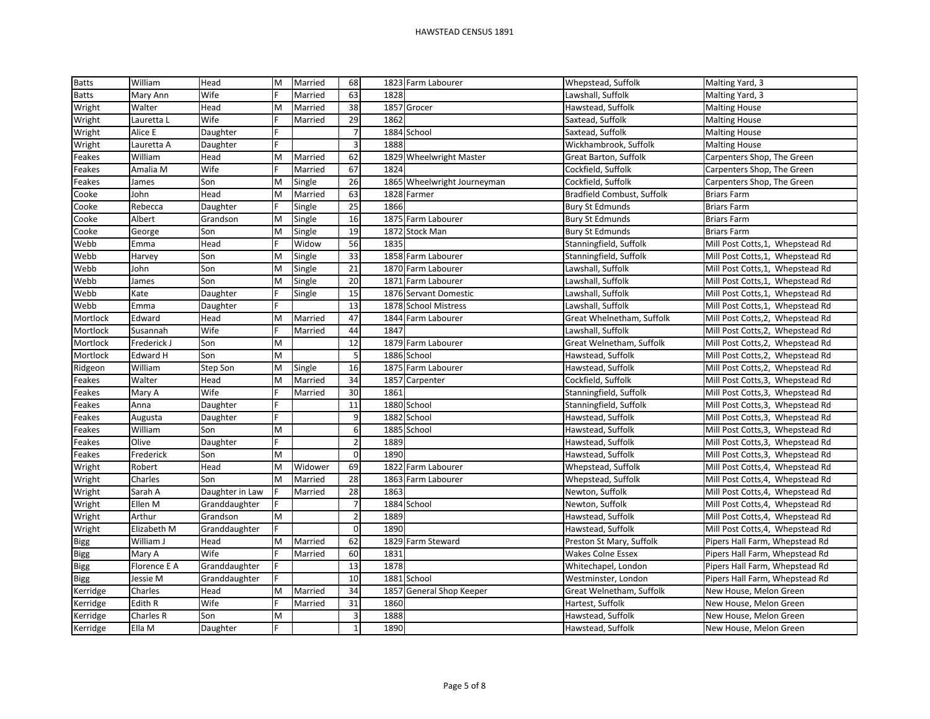| <b>Batts</b> | William      | Head            | M | Married | 68                       |      | 1823 Farm Labourer          | Whepstead, Suffolk         | Malting Yard, 3                  |
|--------------|--------------|-----------------|---|---------|--------------------------|------|-----------------------------|----------------------------|----------------------------------|
| <b>Batts</b> | Mary Ann     | Wife            |   | Married | 63                       | 1828 |                             | Lawshall, Suffolk          | Malting Yard, 3                  |
| Wright       | Walter       | Head            | M | Married | 38                       |      | 1857 Grocer                 | Hawstead, Suffolk          | <b>Malting House</b>             |
| Wright       | Lauretta L   | Wife            |   | Married | 29                       | 1862 |                             | Saxtead, Suffolk           | <b>Malting House</b>             |
| Wright       | Alice E      | Daughter        |   |         | $\overline{\phantom{a}}$ |      | 1884 School                 | Saxtead, Suffolk           | <b>Malting House</b>             |
| Wright       | Lauretta A   | Daughter        |   |         | $\overline{3}$           | 1888 |                             | Wickhambrook, Suffolk      | <b>Malting House</b>             |
| Feakes       | William      | Head            | M | Married | 62                       |      | 1829 Wheelwright Master     | Great Barton, Suffolk      | Carpenters Shop, The Green       |
| Feakes       | Amalia M     | Wife            |   | Married | 67                       | 1824 |                             | Cockfield, Suffolk         | Carpenters Shop, The Green       |
| Feakes       | James        | Son             | M | Single  | 26                       |      | 1865 Wheelwright Journeyman | Cockfield, Suffolk         | Carpenters Shop, The Green       |
| Cooke        | John         | Head            | M | Married | 63                       |      | 1828 Farmer                 | Bradfield Combust, Suffolk | <b>Briars Farm</b>               |
| Cooke        | Rebecca      | Daughter        |   | Single  | 25                       | 1866 |                             | <b>Bury St Edmunds</b>     | <b>Briars Farm</b>               |
| Cooke        | Albert       | Grandson        | M | Single  | 16                       |      | 1875 Farm Labourer          | <b>Bury St Edmunds</b>     | <b>Briars Farm</b>               |
| Cooke        | George       | Son             | M | Single  | 19                       |      | 1872 Stock Man              | <b>Bury St Edmunds</b>     | <b>Briars Farm</b>               |
| Webb         | Emma         | Head            |   | Widow   | 56                       | 1835 |                             | Stanningfield, Suffolk     | Mill Post Cotts, 1, Whepstead Rd |
| Webb         | Harvey       | Son             | M | Single  | 33                       |      | 1858 Farm Labourer          | Stanningfield, Suffolk     | Mill Post Cotts, 1, Whepstead Rd |
| Webb         | John         | Son             | M | Single  | 21                       |      | 1870 Farm Labourer          | Lawshall, Suffolk          | Mill Post Cotts, 1, Whepstead Rd |
| Webb         | James        | Son             | M | Single  | $20\,$                   | 1871 | Farm Labourer               | Lawshall, Suffolk          | Mill Post Cotts, 1, Whepstead Rd |
| Webb         | Kate         | Daughter        |   | Single  | 15                       |      | 1876 Servant Domestic       | Lawshall, Suffolk          | Mill Post Cotts, 1, Whepstead Rd |
| Webb         | Emma         | Daughter        |   |         | 13                       |      | 1878 School Mistress        | Lawshall, Suffolk          | Mill Post Cotts, 1, Whepstead Rd |
| Mortlock     | Edward       | Head            | M | Married | 47                       |      | 1844 Farm Labourer          | Great Whelnetham, Suffolk  | Mill Post Cotts, 2, Whepstead Rd |
| Mortlock     | Susannah     | Wife            |   | Married | 44                       | 1847 |                             | Lawshall, Suffolk          | Mill Post Cotts, 2, Whepstead Rd |
| Mortlock     | Frederick J  | Son             | M |         | $\overline{12}$          |      | 1879 Farm Labourer          | Great Welnetham, Suffolk   | Mill Post Cotts, 2, Whepstead Rd |
| Mortlock     | Edward H     | Son             | M |         | 5                        |      | 1886 School                 | Hawstead, Suffolk          | Mill Post Cotts, 2, Whepstead Rd |
| Ridgeon      | William      | Step Son        | M | Single  | 16                       |      | 1875 Farm Labourer          | Hawstead, Suffolk          | Mill Post Cotts, 2, Whepstead Rd |
| Feakes       | Walter       | Head            | M | Married | 34                       |      | 1857 Carpenter              | Cockfield, Suffolk         | Mill Post Cotts, 3, Whepstead Rd |
| Feakes       | Mary A       | Wife            |   | Married | 30                       | 1861 |                             | Stanningfield, Suffolk     | Mill Post Cotts, 3, Whepstead Rd |
| Feakes       | Anna         | Daughter        |   |         | 11                       |      | 1880 School                 | Stanningfield, Suffolk     | Mill Post Cotts, 3, Whepstead Rd |
| Feakes       | Augusta      | Daughter        |   |         | $\overline{9}$           |      | 1882 School                 | Hawstead, Suffolk          | Mill Post Cotts, 3, Whepstead Rd |
| Feakes       | William      | Son             | M |         | 6                        |      | 1885 School                 | Hawstead, Suffolk          | Mill Post Cotts, 3, Whepstead Rd |
| Feakes       | Olive        | Daughter        |   |         | $\overline{\mathbf{c}}$  | 1889 |                             | Hawstead, Suffolk          | Mill Post Cotts, 3, Whepstead Rd |
| Feakes       | Frederick    | Son             | M |         | $\mathbf 0$              | 1890 |                             | Hawstead, Suffolk          | Mill Post Cotts, 3, Whepstead Rd |
| Wright       | Robert       | Head            | M | Widower | 69                       |      | 1822 Farm Labourer          | Whepstead, Suffolk         | Mill Post Cotts, 4, Whepstead Rd |
| Wright       | Charles      | Son             | M | Married | 28                       |      | 1863 Farm Labourer          | Whepstead, Suffolk         | Mill Post Cotts, 4, Whepstead Rd |
| Wright       | Sarah A      | Daughter in Law |   | Married | 28                       | 1863 |                             | Newton, Suffolk            | Mill Post Cotts, 4, Whepstead Rd |
| Wright       | Ellen M      | Granddaughter   |   |         | $\overline{\phantom{a}}$ |      | 1884 School                 | Newton, Suffolk            | Mill Post Cotts, 4, Whepstead Rd |
| Wright       | Arthur       | Grandson        | M |         | $\overline{c}$           | 1889 |                             | Hawstead, Suffolk          | Mill Post Cotts, 4, Whepstead Rd |
| Wright       | Elizabeth M  | Granddaughter   |   |         | $\mathbf 0$              | 1890 |                             | Hawstead, Suffolk          | Mill Post Cotts, 4, Whepstead Rd |
| <b>Bigg</b>  | William J    | Head            | M | Married | 62                       |      | 1829 Farm Steward           | Preston St Mary, Suffolk   | Pipers Hall Farm, Whepstead Rd   |
| <b>Bigg</b>  | Mary A       | Wife            |   | Married | 60                       | 1831 |                             | <b>Wakes Colne Essex</b>   | Pipers Hall Farm, Whepstead Rd   |
| <b>Bigg</b>  | Florence E A | Granddaughter   |   |         | 13                       | 1878 |                             | Whitechapel, London        | Pipers Hall Farm, Whepstead Rd   |
| <b>Bigg</b>  | Jessie M     | Granddaughter   |   |         | 10                       |      | 1881 School                 | Westminster, London        | Pipers Hall Farm, Whepstead Rd   |
| Kerridge     | Charles      | Head            | M | Married | 34                       | 1857 | General Shop Keeper         | Great Welnetham, Suffolk   | New House, Melon Green           |
| Kerridge     | Edith R      | Wife            |   | Married | 31                       | 1860 |                             | Hartest, Suffolk           | New House, Melon Green           |
| Kerridge     | Charles R    | Son             | M |         | 3                        | 1888 |                             | Hawstead, Suffolk          | New House, Melon Green           |
| Kerridge     | Ella M       | Daughter        |   |         | $\mathbf{1}$             | 1890 |                             | Hawstead, Suffolk          | New House, Melon Green           |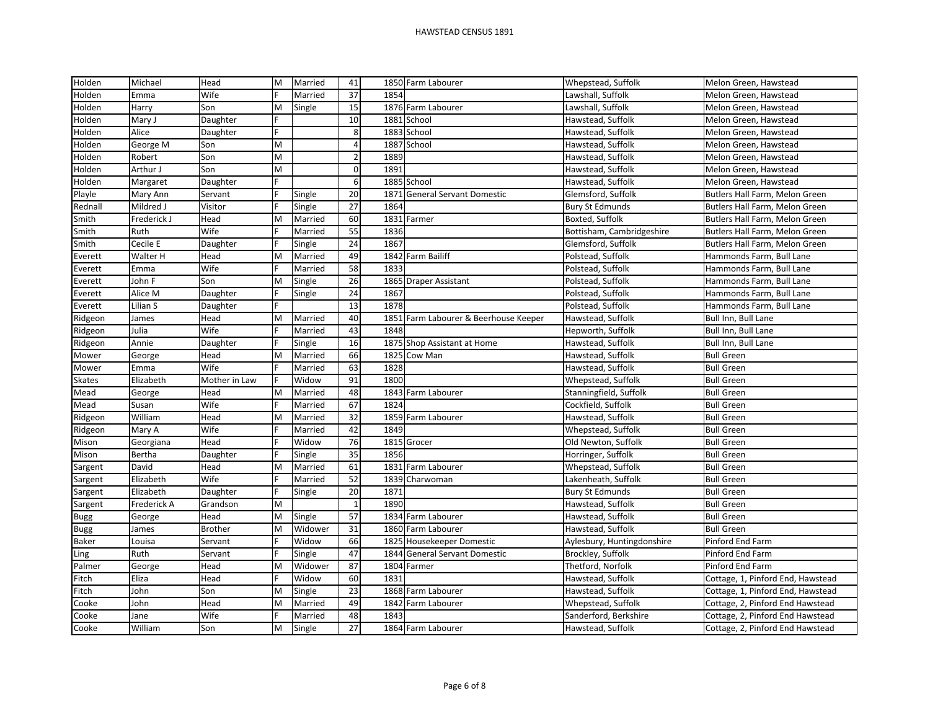| Holden        | Michael     | Head           | M | Married | 41           |      | 1850 Farm Labourer               | Whepstead, Suffolk         | Melon Green, Hawstead             |
|---------------|-------------|----------------|---|---------|--------------|------|----------------------------------|----------------------------|-----------------------------------|
| Holden        | Emma        | Wife           |   | Married | 37           | 1854 |                                  | Lawshall, Suffolk          | Melon Green, Hawstead             |
| Holden        | Harry       | Son            | Μ | Single  | 15           |      | 1876 Farm Labourer               | Lawshall, Suffolk          | Melon Green, Hawstead             |
| Holden        | Mary J      | Daughter       |   |         | 10           | 1881 | School                           | Hawstead, Suffolk          | Melon Green, Hawstead             |
| Holden        | Alice       | Daughter       |   |         | 8            |      | 1883 School                      | Hawstead, Suffolk          | Melon Green, Hawstead             |
| Holden        | George M    | Son            | M |         | 4            |      | 1887 School                      | Hawstead, Suffolk          | Melon Green, Hawstead             |
| Holden        | Robert      | Son            | M |         | $\mathbf 2$  | 1889 |                                  | Hawstead, Suffolk          | Melon Green, Hawstead             |
| Holden        | Arthur J    | Son            | M |         | $\mathbf 0$  | 1891 |                                  | Hawstead, Suffolk          | Melon Green, Hawstead             |
| Holden        | Margaret    | Daughter       |   |         | 6            |      | 1885 School                      | Hawstead, Suffolk          | Melon Green, Hawstead             |
| Playle        | Mary Ann    | Servant        |   | Single  | 20           | 1871 | <b>General Servant Domestic</b>  | Glemsford, Suffolk         | Butlers Hall Farm, Melon Green    |
| Rednall       | Mildred J   | Visitor        |   | Single  | 27           | 1864 |                                  | <b>Bury St Edmunds</b>     | Butlers Hall Farm, Melon Green    |
| Smith         | Frederick J | Head           | M | Married | 60           |      | 1831 Farmer                      | Boxted, Suffolk            | Butlers Hall Farm, Melon Green    |
| Smith         | Ruth        | Wife           |   | Married | 55           | 1836 |                                  | Bottisham, Cambridgeshire  | Butlers Hall Farm, Melon Green    |
| Smith         | Cecile E    | Daughter       |   | Single  | 24           | 1867 |                                  | Glemsford, Suffolk         | Butlers Hall Farm, Melon Green    |
| Everett       | Walter H    | Head           | M | Married | 49           |      | 1842 Farm Bailiff                | Polstead, Suffolk          | Hammonds Farm, Bull Lane          |
| Everett       | Emma        | Wife           |   | Married | 58           | 1833 |                                  | Polstead, Suffolk          | Hammonds Farm, Bull Lane          |
| Everett       | John F      | Son            | M | Single  | 26           |      | 1865 Draper Assistant            | Polstead, Suffolk          | Hammonds Farm, Bull Lane          |
| Everett       | Alice M     | Daughter       |   | Single  | 24           | 1867 |                                  | Polstead, Suffolk          | Hammonds Farm, Bull Lane          |
| Everett       | Lilian S    | Daughter       |   |         | 13           | 1878 |                                  | Polstead, Suffolk          | Hammonds Farm, Bull Lane          |
| Ridgeon       | James       | Head           | М | Married | 40           | 1851 | Farm Labourer & Beerhouse Keeper | Hawstead, Suffolk          | Bull Inn, Bull Lane               |
| Ridgeon       | Julia       | Wife           |   | Married | 43           | 1848 |                                  | Hepworth, Suffolk          | Bull Inn, Bull Lane               |
| Ridgeon       | Annie       | Daughter       |   | Single  | 16           |      | 1875 Shop Assistant at Home      | Hawstead, Suffolk          | Bull Inn, Bull Lane               |
| Mower         | George      | Head           | M | Married | 66           |      | 1825 Cow Man                     | Hawstead, Suffolk          | <b>Bull Green</b>                 |
| Mower         | Emma        | Wife           |   | Married | 63           | 1828 |                                  | Hawstead, Suffolk          | <b>Bull Green</b>                 |
| <b>Skates</b> | Elizabeth   | Mother in Law  |   | Widow   | 91           | 1800 |                                  | Whepstead, Suffolk         | <b>Bull Green</b>                 |
| Mead          | George      | Head           | M | Married | 48           |      | 1843 Farm Labourer               | Stanningfield, Suffolk     | <b>Bull Green</b>                 |
| Mead          | Susan       | Wife           |   | Married | 67           | 1824 |                                  | Cockfield, Suffolk         | <b>Bull Green</b>                 |
| Ridgeon       | William     | Head           | M | Married | 32           |      | 1859 Farm Labourer               | Hawstead, Suffolk          | <b>Bull Green</b>                 |
| Ridgeon       | Mary A      | Wife           |   | Married | 42           | 1849 |                                  | Whepstead, Suffolk         | <b>Bull Green</b>                 |
| Mison         | Georgiana   | Head           |   | Widow   | 76           |      | 1815 Grocer                      | Old Newton, Suffolk        | <b>Bull Green</b>                 |
| Mison         | Bertha      | Daughter       |   | Single  | 35           | 1856 |                                  | Horringer, Suffolk         | <b>Bull Green</b>                 |
| Sargent       | David       | Head           | М | Married | 61           |      | 1831 Farm Labourer               | Whepstead, Suffolk         | <b>Bull Green</b>                 |
| Sargent       | Elizabeth   | Wife           |   | Married | 52           |      | 1839 Charwoman                   | Lakenheath, Suffolk        | <b>Bull Green</b>                 |
| Sargent       | Elizabeth   | Daughter       |   | Single  | 20           | 1871 |                                  | <b>Bury St Edmunds</b>     | <b>Bull Green</b>                 |
| Sargent       | Frederick A | Grandson       | M |         | $\mathbf{1}$ | 1890 |                                  | Hawstead, Suffolk          | <b>Bull Green</b>                 |
| <b>Bugg</b>   | George      | Head           | M | Single  | 57           |      | 1834 Farm Labourer               | Hawstead, Suffolk          | <b>Bull Green</b>                 |
| <b>Bugg</b>   | James       | <b>Brother</b> | M | Widower | 31           |      | 1860 Farm Labourer               | Hawstead, Suffolk          | <b>Bull Green</b>                 |
| Baker         | Louisa      | Servant        |   | Widow   | 66           |      | 1825 Housekeeper Domestic        | Aylesbury, Huntingdonshire | Pinford End Farm                  |
| Ling          | Ruth        | Servant        |   | Single  | 47           | 1844 | <b>General Servant Domestic</b>  | Brockley, Suffolk          | Pinford End Farm                  |
| Palmer        | George      | Head           | M | Widower | 87           |      | 1804 Farmer                      | Thetford, Norfolk          | Pinford End Farm                  |
| Fitch         | Eliza       | Head           |   | Widow   | 60           | 1831 |                                  | Hawstead, Suffolk          | Cottage, 1, Pinford End, Hawstead |
| Fitch         | John        | Son            | M | Single  | 23           |      | 1868 Farm Labourer               | Hawstead, Suffolk          | Cottage, 1, Pinford End, Hawstead |
| Cooke         | John        | Head           | M | Married | 49           |      | 1842 Farm Labourer               | Whepstead, Suffolk         | Cottage, 2, Pinford End Hawstead  |
| Cooke         | Jane        | Wife           |   | Married | 48           | 1843 |                                  | Sanderford, Berkshire      | Cottage, 2, Pinford End Hawstead  |
| Cooke         | William     | Son            | M | Single  | 27           |      | 1864 Farm Labourer               | Hawstead, Suffolk          | Cottage, 2, Pinford End Hawstead  |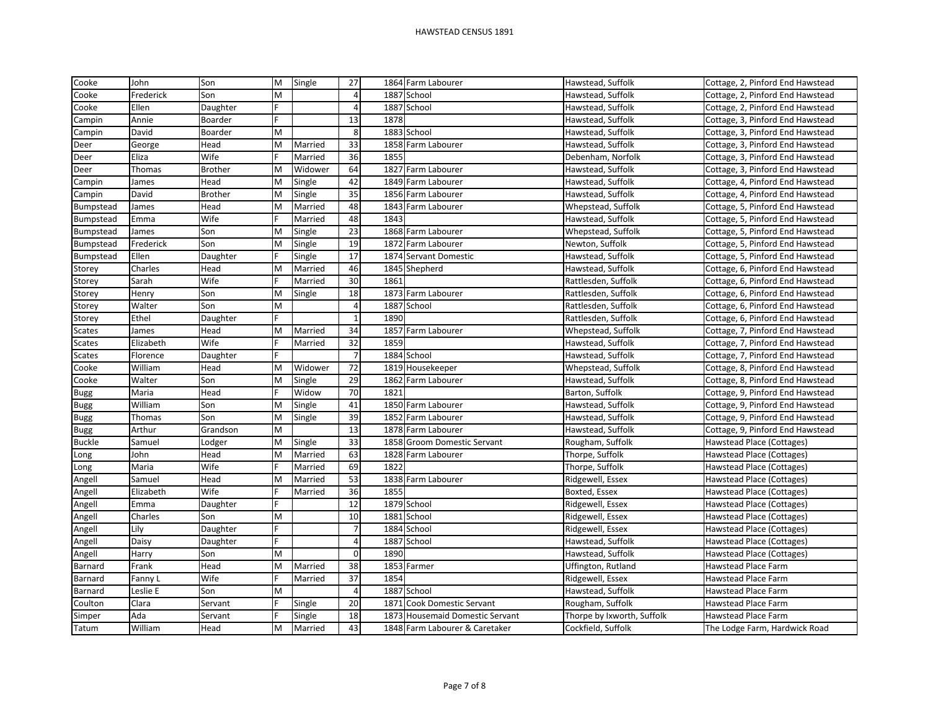| Cooke            | John      | Son            | M | Single  | 27              |      | 1864 Farm Labourer                | Hawstead, Suffolk          | Cottage, 2, Pinford End Hawstead |
|------------------|-----------|----------------|---|---------|-----------------|------|-----------------------------------|----------------------------|----------------------------------|
| Cooke            | Frederick | Son            | M |         | 4               |      | 1887 School                       | Hawstead, Suffolk          | Cottage, 2, Pinford End Hawstead |
| Cooke            | Ellen     | Daughter       | F |         | 4               |      | 1887 School                       | Hawstead, Suffolk          | Cottage, 2, Pinford End Hawstead |
| Campin           | Annie     | Boarder        |   |         | 13              | 1878 |                                   | Hawstead, Suffolk          | Cottage, 3, Pinford End Hawstead |
| Campin           | David     | Boarder        | M |         | 8               |      | 1883 School                       | Hawstead, Suffolk          | Cottage, 3, Pinford End Hawstead |
| Deer             | George    | Head           | M | Married | 33              |      | 1858 Farm Labourer                | Hawstead, Suffolk          | Cottage, 3, Pinford End Hawstead |
| Deer             | Eliza     | Wife           |   | Married | 36              | 1855 |                                   | Debenham, Norfolk          | Cottage, 3, Pinford End Hawstead |
| Deer             | Thomas    | <b>Brother</b> | M | Widower | 64              |      | 1827 Farm Labourer                | Hawstead, Suffolk          | Cottage, 3, Pinford End Hawstead |
| Campin           | James     | Head           | M | Single  | 42              |      | 1849 Farm Labourer                | Hawstead, Suffolk          | Cottage, 4, Pinford End Hawstead |
| Campin           | David     | <b>Brother</b> | M | Single  | 35              |      | 1856 Farm Labourer                | Hawstead, Suffolk          | Cottage, 4, Pinford End Hawstead |
| Bumpstead        | James     | Head           | M | Married | 48              |      | 1843 Farm Labourer                | Whepstead, Suffolk         | Cottage, 5, Pinford End Hawstead |
| <b>Bumpstead</b> | Emma      | Wife           |   | Married | 48              | 1843 |                                   | Hawstead, Suffolk          | Cottage, 5, Pinford End Hawstead |
| Bumpstead        | James     | Son            | M | Single  | 23              |      | 1868 Farm Labourer                | Whepstead, Suffolk         | Cottage, 5, Pinford End Hawstead |
| Bumpstead        | Frederick | Son            | M | Single  | 19              |      | 1872 Farm Labourer                | Newton, Suffolk            | Cottage, 5, Pinford End Hawstead |
| Bumpstead        | Ellen     | Daughter       |   | Single  | 17              |      | 1874 Servant Domestic             | Hawstead, Suffolk          | Cottage, 5, Pinford End Hawstead |
| Storey           | Charles   | Head           | M | Married | 46              |      | 1845 Shepherd                     | Hawstead, Suffolk          | Cottage, 6, Pinford End Hawstead |
| Storey           | Sarah     | Wife           |   | Married | 30              | 1861 |                                   | Rattlesden, Suffolk        | Cottage, 6, Pinford End Hawstead |
| Storey           | Henry     | Son            | M | Single  | 18              |      | 1873 Farm Labourer                | Rattlesden, Suffolk        | Cottage, 6, Pinford End Hawstead |
| Storey           | Walter    | Son            | M |         | $\overline{4}$  |      | 1887 School                       | Rattlesden, Suffolk        | Cottage, 6, Pinford End Hawstead |
| Storey           | Ethel     | Daughter       |   |         | $\mathbf{1}$    | 1890 |                                   | Rattlesden, Suffolk        | Cottage, 6, Pinford End Hawstead |
| <b>Scates</b>    | James     | Head           | M | Married | 34              |      | 1857 Farm Labourer                | Whepstead, Suffolk         | Cottage, 7, Pinford End Hawstead |
| <b>Scates</b>    | Elizabeth | Wife           |   | Married | 32              | 1859 |                                   | Hawstead, Suffolk          | Cottage, 7, Pinford End Hawstead |
| <b>Scates</b>    | Florence  | Daughter       |   |         | $\overline{7}$  |      | 1884 School                       | Hawstead, Suffolk          | Cottage, 7, Pinford End Hawstead |
| Cooke            | William   | Head           | M | Widower | 72              |      | 1819 Housekeeper                  | Whepstead, Suffolk         | Cottage, 8, Pinford End Hawstead |
| Cooke            | Walter    | Son            | M | Single  | 29              |      | 1862 Farm Labourer                | Hawstead, Suffolk          | Cottage, 8, Pinford End Hawstead |
| Bugg             | Maria     | Head           |   | Widow   | 70              | 1821 |                                   | Barton, Suffolk            | Cottage, 9, Pinford End Hawstead |
| <b>Bugg</b>      | William   | Son            | M | Single  | 41              |      | 1850 Farm Labourer                | Hawstead, Suffolk          | Cottage, 9, Pinford End Hawstead |
| <b>Bugg</b>      | Thomas    | Son            | M | Single  | 39              |      | 1852 Farm Labourer                | Hawstead, Suffolk          | Cottage, 9, Pinford End Hawstead |
| Bugg             | Arthur    | Grandson       | M |         | 13              |      | 1878 Farm Labourer                | Hawstead, Suffolk          | Cottage, 9, Pinford End Hawstead |
| <b>Buckle</b>    | Samuel    | Lodger         | M | Single  | 33              |      | 1858 Groom Domestic Servant       | Rougham, Suffolk           | Hawstead Place (Cottages)        |
| Long             | John      | Head           | M | Married | 63              |      | 1828 Farm Labourer                | Thorpe, Suffolk            | Hawstead Place (Cottages)        |
| Long             | Maria     | Wife           |   | Married | 69              | 1822 |                                   | Thorpe, Suffolk            | Hawstead Place (Cottages)        |
| Angell           | Samuel    | Head           | M | Married | 53              |      | 1838 Farm Labourer                | Ridgewell, Essex           | Hawstead Place (Cottages)        |
| Angell           | Elizabeth | Wife           |   | Married | 36              | 1855 |                                   | Boxted, Essex              | Hawstead Place (Cottages)        |
| Angell           | Emma      | Daughter       |   |         | $\overline{12}$ |      | 1879 School                       | Ridgewell, Essex           | Hawstead Place (Cottages)        |
| Angell           | Charles   | Son            | M |         | 10              |      | 1881 School                       | Ridgewell, Essex           | Hawstead Place (Cottages)        |
| Angell           | Lily      | Daughter       |   |         | $\overline{7}$  |      | 1884 School                       | Ridgewell, Essex           | Hawstead Place (Cottages)        |
| Angell           | Daisy     | Daughter       |   |         | $\overline{a}$  |      | 1887 School                       | Hawstead, Suffolk          | Hawstead Place (Cottages)        |
| Angell           | Harry     | Son            | M |         | $\mathbf 0$     | 1890 |                                   | Hawstead, Suffolk          | Hawstead Place (Cottages)        |
| Barnard          | Frank     | Head           | M | Married | 38              |      | 1853 Farmer                       | Uffington, Rutland         | Hawstead Place Farm              |
| Barnard          | Fanny L   | Wife           |   | Married | 37              | 1854 |                                   | Ridgewell, Essex           | Hawstead Place Farm              |
| Barnard          | Leslie E  | Son            | M |         | 4               |      | 1887 School                       | Hawstead, Suffolk          | Hawstead Place Farm              |
| Coulton          | Clara     | Servant        | F | Single  | 20              |      | 1871 Cook Domestic Servant        | Rougham, Suffolk           | Hawstead Place Farm              |
| Simper           | Ada       | Servant        |   | Single  | 18              | 1873 | <b>Housemaid Domestic Servant</b> | Thorpe by Ixworth, Suffolk | Hawstead Place Farm              |
| Tatum            | William   | Head           | M | Married | 43              |      | 1848 Farm Labourer & Caretaker    | Cockfield, Suffolk         | The Lodge Farm, Hardwick Road    |